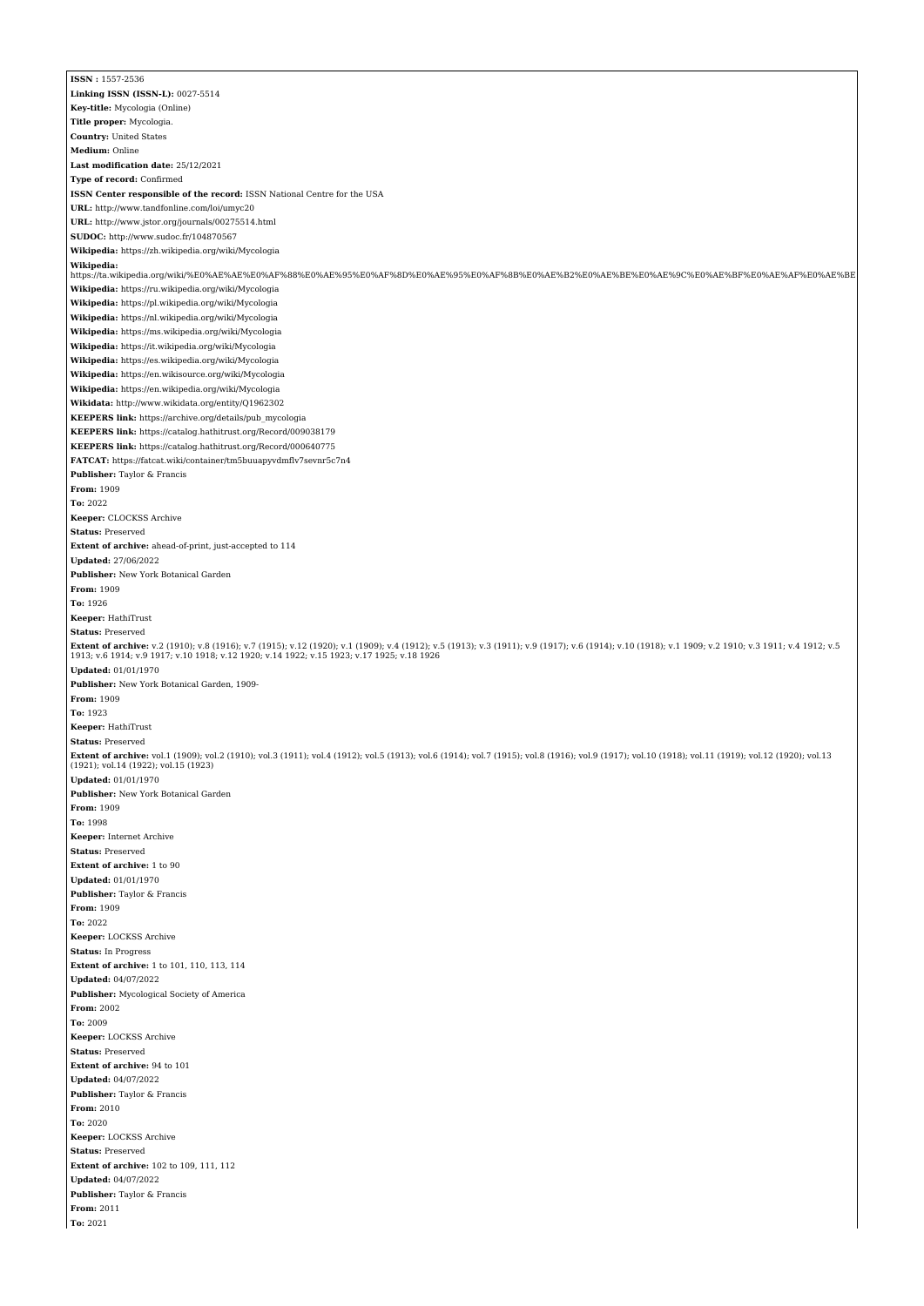**ISSN :** 1557-2536 **Linking ISSN (ISSN-L):** 0027-5514 **Key-title:** Mycologia (Online) **Title proper:** Mycologia. **Country:** United States **Medium:** Online **Last modification date:** 25/12/2021 **Type of record:** Confirmed **ISSN Center responsible of the record:** ISSN National Centre for the USA **URL:** <http://www.tandfonline.com/loi/umyc20> **URL:** <http://www.jstor.org/journals/00275514.html> **SUDOC:** <http://www.sudoc.fr/104870567> **Wikipedia:** <https://zh.wikipedia.org/wiki/Mycologia> **Wikipedia:**<br>https://ta.wikipedia.org/wiki/%E0%AE%AE%E0%AF%88%E0%AE%95%E0%AF%8D%E0%AE%95%E0%AF%BB%E0%AE%BB%E0%AE%9C%E0%AE%BF%E0%AF%E0%AE%BF%E0%AE%BF%E0%AE%BF%E0%AE%BF%E0%AE%BF%E0%AE%BF%E0%AE%BF%E0%AE%BF%E0%AE%BF%E0%AE%BF%E **Wikipedia:** <https://ru.wikipedia.org/wiki/Mycologia> **Wikipedia:** <https://pl.wikipedia.org/wiki/Mycologia> **Wikipedia:** <https://nl.wikipedia.org/wiki/Mycologia> **Wikipedia:** <https://ms.wikipedia.org/wiki/Mycologia> **Wikipedia:** <https://it.wikipedia.org/wiki/Mycologia> **Wikipedia:** <https://es.wikipedia.org/wiki/Mycologia> **Wikipedia:** <https://en.wikisource.org/wiki/Mycologia> **Wikipedia:** <https://en.wikipedia.org/wiki/Mycologia> **Wikidata:** <http://www.wikidata.org/entity/Q1962302> **KEEPERS link:** [https://archive.org/details/pub\\_mycologia](https://archive.org/details/pub_mycologia) **KEEPERS link:** <https://catalog.hathitrust.org/Record/009038179> **KEEPERS link:** <https://catalog.hathitrust.org/Record/000640775> **FATCAT:** <https://fatcat.wiki/container/tm5buuapyvdmflv7sevnr5c7n4> **Publisher:** Taylor & Francis **From:** 1909 **To:** 2022 **Keeper:** CLOCKSS Archive **Status:** Preserved **Extent of archive:** abead-of-print, just-accepted to 114 **Updated:** 27/06/2022 **Publisher:** New York Botanical Garden **From:** 1909 **To:** 1926 **Keeper:** HathiTrust **Status:** Preserved **Extent of archive:** v.2 (1910); v.8 (1916); v.7 (1915); v.12 (1920); v.1 (1909); v.4 (1912); v.5 (1913); v.3 (1911); v.9 (1914); v.4 (1914); v.10 (1918); v.11909; v.2 1910; v.3 1911; v.4 1912; v.5 1913; v.6 1914; v.9 1917; v.10 1918; v.12 1920; v.14 1922; v.15 1923; v.17 1925; v.18 1926 **Updated:** 01/01/1970 **Publisher:** New York Botanical Garden, 1909- **From:** 1909 **To:** 1923 **Keeper:** HathiTrust **Status:** Preserved **Extent of archive:** vol.1 (1909); vol.2 (1910); vol.3 (1911); vol.4 (1912); vol.5 (1913); vol.6 (1914); vol.7 (1915); vol.8 (1916); vol.9 (1917); vol.10 (1918); vol.11 (1919); vol.12 (1920); vol.13<br>(1921); vol.14 (1922); **Updated:** 01/01/1970 **Publisher:** New York Botanical Garden **From:** 1909 **To:** 1998 **Keeper:** Internet Archive **Status:** Preserved **Extent of archive:** 1 to 90 **Updated:** 01/01/1970 **Publisher:** Taylor & Francis **From:** 1909 **To:** 2022 **Keeper:** LOCKSS Archive **Status:** In Progress **Extent of archive:** 1 to 101, 110, 113, 114 **Updated:** 04/07/2022 **Publisher:** Mycological Society of America **From:** 2002 **To:** 2009 **Keeper:** LOCKSS Archive **Status:** Preserved **Extent of archive:** 94 to 101 **Updated:** 04/07/2022 **Publisher:** Taylor & Francis **From:** 2010 **To:** 2020 **Keeper:** LOCKSS Archive **Status:** Preserved **Extent of archive:** 102 to 109, 111, 112 **Updated:** 04/07/2022 **Publisher:** Taylor & Francis **From:** 2011 **To:** 2021